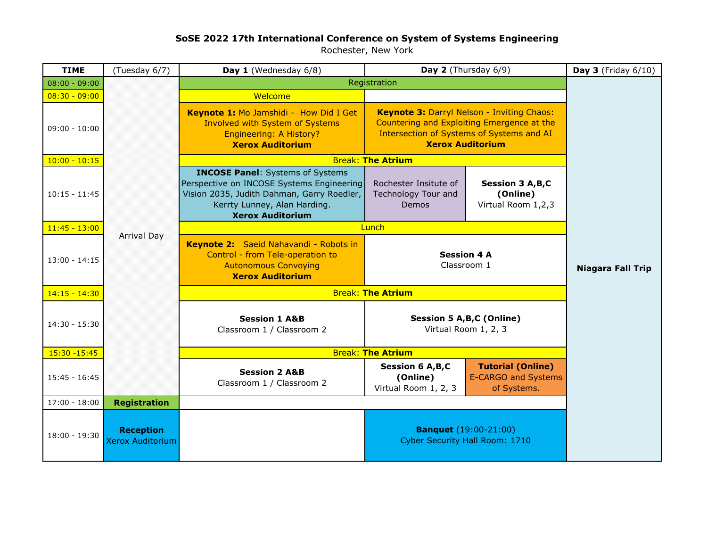## **SoSE 2022 17th International Conference on System of Systems Engineering**

Rochester, New York

| <b>TIME</b>     | (Tuesday 6/7)                               | <b>Day 2</b> (Thursday $6/9$ )<br>Day 1 (Wednesday 6/8)                                                                                                                                       |                                                                                                                                                                  | Day $3$ (Friday $6/10$ )                                              |                          |
|-----------------|---------------------------------------------|-----------------------------------------------------------------------------------------------------------------------------------------------------------------------------------------------|------------------------------------------------------------------------------------------------------------------------------------------------------------------|-----------------------------------------------------------------------|--------------------------|
| $08:00 - 09:00$ |                                             | Registration                                                                                                                                                                                  |                                                                                                                                                                  |                                                                       |                          |
| $08:30 - 09:00$ |                                             | Welcome                                                                                                                                                                                       |                                                                                                                                                                  |                                                                       |                          |
| $09:00 - 10:00$ |                                             | Keynote 1: Mo Jamshidi - How Did I Get<br><b>Involved with System of Systems</b><br><b>Engineering: A History?</b><br><b>Xerox Auditorium</b>                                                 | Keynote 3: Darryl Nelson - Inviting Chaos:<br>Countering and Exploiting Emergence at the<br>Intersection of Systems of Systems and AI<br><b>Xerox Auditorium</b> |                                                                       |                          |
| $10:00 - 10:15$ |                                             | <b>Break: The Atrium</b>                                                                                                                                                                      |                                                                                                                                                                  |                                                                       |                          |
| $10:15 - 11:45$ |                                             | <b>INCOSE Panel:</b> Systems of Systems<br>Perspective on INCOSE Systems Engineering<br>Vision 2035, Judith Dahman, Garry Roedler,<br>Kerrty Lunney, Alan Harding.<br><b>Xerox Auditorium</b> | Rochester Insitute of<br>Technology Tour and<br>Demos                                                                                                            | <b>Session 3 A, B, C</b><br>(Online)<br>Virtual Room 1,2,3            |                          |
| $11:45 - 13:00$ |                                             | Lunch                                                                                                                                                                                         |                                                                                                                                                                  |                                                                       |                          |
| $13:00 - 14:15$ | <b>Arrival Day</b>                          | Keynote 2: Saeid Nahavandi - Robots in<br>Control - from Tele-operation to<br><b>Autonomous Convoying</b><br><b>Xerox Auditorium</b>                                                          | <b>Session 4 A</b><br>Classroom 1                                                                                                                                |                                                                       | <b>Niagara Fall Trip</b> |
| $14:15 - 14:30$ |                                             | <b>Break: The Atrium</b>                                                                                                                                                                      |                                                                                                                                                                  |                                                                       |                          |
| $14:30 - 15:30$ |                                             | <b>Session 1 A&amp;B</b><br>Classroom 1 / Classroom 2                                                                                                                                         | Session 5 A, B, C (Online)<br>Virtual Room 1, 2, 3                                                                                                               |                                                                       |                          |
| $15:30 - 15:45$ |                                             | <b>Break: The Atrium</b>                                                                                                                                                                      |                                                                                                                                                                  |                                                                       |                          |
| $15:45 - 16:45$ |                                             | <b>Session 2 A&amp;B</b><br>Classroom 1 / Classroom 2                                                                                                                                         | <b>Session 6 A,B,C</b><br>(Online)<br>Virtual Room 1, 2, 3                                                                                                       | <b>Tutorial (Online)</b><br><b>E-CARGO and Systems</b><br>of Systems. |                          |
| $17:00 - 18:00$ | <b>Registration</b>                         |                                                                                                                                                                                               |                                                                                                                                                                  |                                                                       |                          |
| $18:00 - 19:30$ | <b>Reception</b><br><b>Xerox Auditorium</b> |                                                                                                                                                                                               | <b>Banquet</b> (19:00-21:00)<br><b>Cyber Security Hall Room: 1710</b>                                                                                            |                                                                       |                          |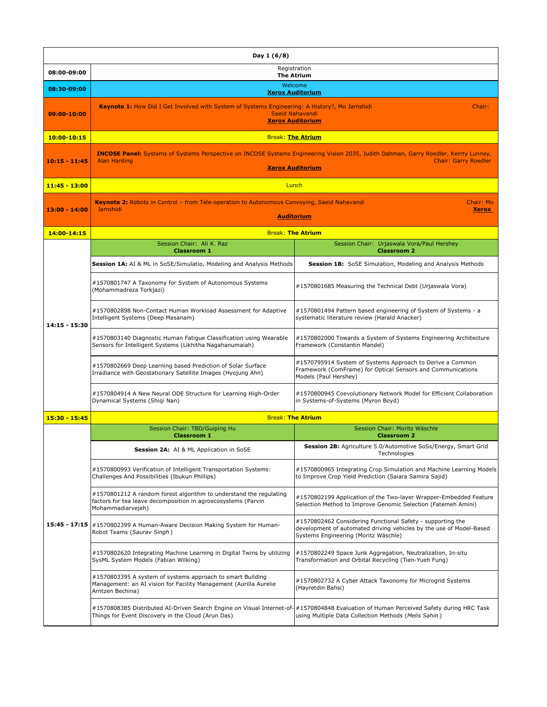| Day 1 (6/8)     |                                                                                                                                                                                                                       |                                                                                                                                                                           |  |  |  |  |
|-----------------|-----------------------------------------------------------------------------------------------------------------------------------------------------------------------------------------------------------------------|---------------------------------------------------------------------------------------------------------------------------------------------------------------------------|--|--|--|--|
| 08:00-09:00     | Registration<br><b>The Atrium</b>                                                                                                                                                                                     |                                                                                                                                                                           |  |  |  |  |
| 08:30-09:00     | Welcome<br><b>Xerox Auditorium</b>                                                                                                                                                                                    |                                                                                                                                                                           |  |  |  |  |
| 09:00-10:00     | Keynote 1: How Did I Get Involved with System of Systems Engineering: A History?, Mo Jamshidi<br>Chair:<br>Saeid Nahavandi<br><b>Xerox Auditorium</b>                                                                 |                                                                                                                                                                           |  |  |  |  |
| 10:00-10:15     |                                                                                                                                                                                                                       | <b>Break: The Atrium</b>                                                                                                                                                  |  |  |  |  |
| 10:15 - 11:45   | INCOSE Panel: Systems of Systems Perspective on INCOSE Systems Engineering Vision 2035, Judith Dahman, Garry Roedler, Kerrty Lunney,<br><b>Chair: Garry Roedler</b><br><b>Alan Harding</b><br><b>Xerox Auditorium</b> |                                                                                                                                                                           |  |  |  |  |
| 11:45 - 13:00   | Lunch                                                                                                                                                                                                                 |                                                                                                                                                                           |  |  |  |  |
| 13:00 - 14:00   | <b>Keynote 2:</b> Robots in Control - from Tele-operation to Autonomous Convoying, Saeid Nahavandi<br>Chair: Mo<br>Jamshidi<br><b>Xerox</b><br><b>Auditorium</b>                                                      |                                                                                                                                                                           |  |  |  |  |
| 14:00-14:15     |                                                                                                                                                                                                                       | <b>Break: The Atrium</b>                                                                                                                                                  |  |  |  |  |
|                 | Session Chair: Ali K. Raz<br><b>Classroom 1</b>                                                                                                                                                                       | Session Chair: Urjaswala Vora/Paul Hershey<br><b>Classroom 2</b>                                                                                                          |  |  |  |  |
|                 | Session 1A: AI & ML in SoSE/Simulatio, Modeling and Analysis Methods                                                                                                                                                  | Session 1B: SoSE Simulation, Modeling and Analysis Methods                                                                                                                |  |  |  |  |
|                 | #1570801747 A Taxonomy for System of Autonomous Systems<br>(Mohammadreza Torkjazi)                                                                                                                                    | #1570801685 Measuring the Technical Debt (Urjaswala Vora)                                                                                                                 |  |  |  |  |
| 14:15 - 15:30   | #1570802898 Non-Contact Human Workload Assessment for Adaptive<br>Intelligent Systems (Deep Masanam)                                                                                                                  | #1570801494 Pattern based engineering of System of Systems - a<br>systematic literature review (Harald Anacker)                                                           |  |  |  |  |
|                 | #1570803140 Diagnostic Human Fatigue Classification using Wearable<br>Sensors for Intelligent Systems (Likhitha Nagahanumaiah)                                                                                        | #1570802000 Towards a System of Systems Engineering Architecture<br>Framework (Constantin Mandel)                                                                         |  |  |  |  |
|                 | #1570802669 Deep Learning based Prediction of Solar Surface<br>Irradiance with Geostationary Satellite Images (Hyojung Ahn)                                                                                           | #1570795914 System of Systems Approach to Derive a Common<br>Framework (ComFrame) for Optical Sensors and Communications<br>Models (Paul Hershey)                         |  |  |  |  |
|                 | #1570804914 A New Neural ODE Structure for Learning High-Order<br>Dynamical Systems (Shiqi Nan)                                                                                                                       | #1570800945 Coevolutionary Network Model for Efficient Collaboration<br>in Systems-of-Systems (Myron Boyd)                                                                |  |  |  |  |
| 15:30 - 15:45   | <b>Break: The Atrium</b>                                                                                                                                                                                              |                                                                                                                                                                           |  |  |  |  |
|                 | Session Chair: TBD/Guiping Hu<br><b>Classroom 1</b>                                                                                                                                                                   | Session Chair: Moritz Wäschle<br><b>Classroom 2</b>                                                                                                                       |  |  |  |  |
|                 | <b>Session 2A:</b> AI & ML Application in SoSE                                                                                                                                                                        | Session 2B: Agriculture 5.0/Automotive SoSs/Energy, Smart Grid<br>Technologies                                                                                            |  |  |  |  |
| $15:45 - 17:15$ | #1570800993 Verification of Intelligent Transportation Systems:<br>Challenges And Possibilities (Ibukun Phillips)                                                                                                     | #1570800965 Integrating Crop Simulation and Machine Learning Models<br>to Improve Crop Yield Prediction (Saiara Samira Sajid)                                             |  |  |  |  |
|                 | #1570801212 A random forest algorithm to understand the regulating<br>factors for tea leave decomposition in agroecosystems (Parvin<br>Mohammadiarvejeh)                                                              | #1570802199 Application of the Two-layer Wrapper-Embedded Feature<br>Selection Method to Improve Genomic Selection (Fatemeh Amini)                                        |  |  |  |  |
|                 | #1570802399 A Human-Aware Decision Making System for Human-<br>Robot Teams (Saurav Singh)                                                                                                                             | #1570802462 Considering Functional Safety - supporting the<br>development of automated driving vehicles by the use of Model-Based<br>Systems Engineering (Moritz Wäschle) |  |  |  |  |
|                 | #1570802620 Integrating Machine Learning in Digital Twins by utilizing<br>SysML System Models (Fabian Wilking)                                                                                                        | #1570802249 Space Junk Aggregation, Neutralization, In-situ<br>Transformation and Orbital Recycling (Tien-Yueh Fung)                                                      |  |  |  |  |
|                 | #1570803395 A system of systems approach to smart Building<br>Management: an AI vision for Facility Management (Aurilla Aurelie<br>Arntzen Bechina)                                                                   | #1570802732 A Cyber Attack Taxonomy for Microgrid Systems<br>(Hayretdin Bahsi)                                                                                            |  |  |  |  |
|                 | #1570808385 Distributed AI-Driven Search Engine on Visual Internet-of-#1570804848 Evaluation of Human Perceived Safety during HRC Task<br>Things for Event Discovery in the Cloud (Arun Das)                          | using Multiple Data Collection Methods (Melis Sahin)                                                                                                                      |  |  |  |  |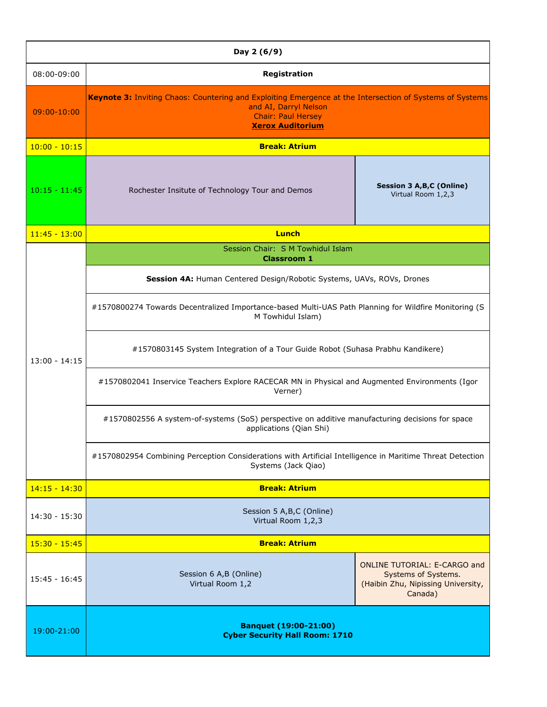| Day 2 (6/9)     |                                                                                                                                                                                           |                                                                                                             |  |  |  |
|-----------------|-------------------------------------------------------------------------------------------------------------------------------------------------------------------------------------------|-------------------------------------------------------------------------------------------------------------|--|--|--|
| 08:00-09:00     | Registration                                                                                                                                                                              |                                                                                                             |  |  |  |
| $09:00 - 10:00$ | Keynote 3: Inviting Chaos: Countering and Exploiting Emergence at the Intersection of Systems of Systems<br>and AI, Darryl Nelson<br><b>Chair: Paul Hersey</b><br><b>Xerox Auditorium</b> |                                                                                                             |  |  |  |
| $10:00 - 10:15$ | <b>Break: Atrium</b>                                                                                                                                                                      |                                                                                                             |  |  |  |
| $10:15 - 11:45$ | Rochester Insitute of Technology Tour and Demos                                                                                                                                           | Session 3 A, B, C (Online)<br>Virtual Room 1,2,3                                                            |  |  |  |
| $11:45 - 13:00$ | Lunch                                                                                                                                                                                     |                                                                                                             |  |  |  |
|                 | Session Chair: S M Towhidul Islam<br><b>Classroom 1</b>                                                                                                                                   |                                                                                                             |  |  |  |
|                 | Session 4A: Human Centered Design/Robotic Systems, UAVs, ROVs, Drones                                                                                                                     |                                                                                                             |  |  |  |
|                 | #1570800274 Towards Decentralized Importance-based Multi-UAS Path Planning for Wildfire Monitoring (S<br>M Towhidul Islam)                                                                |                                                                                                             |  |  |  |
| $13:00 - 14:15$ | #1570803145 System Integration of a Tour Guide Robot (Suhasa Prabhu Kandikere)                                                                                                            |                                                                                                             |  |  |  |
|                 | #1570802041 Inservice Teachers Explore RACECAR MN in Physical and Augmented Environments (Igor<br>Verner)                                                                                 |                                                                                                             |  |  |  |
|                 | #1570802556 A system-of-systems (SoS) perspective on additive manufacturing decisions for space<br>applications (Qian Shi)                                                                |                                                                                                             |  |  |  |
|                 | #1570802954 Combining Perception Considerations with Artificial Intelligence in Maritime Threat Detection<br>Systems (Jack Qiao)                                                          |                                                                                                             |  |  |  |
| $14:15 - 14:30$ | <b>Break: Atrium</b>                                                                                                                                                                      |                                                                                                             |  |  |  |
| $14:30 - 15:30$ | Session 5 A, B, C (Online)<br>Virtual Room 1,2,3                                                                                                                                          |                                                                                                             |  |  |  |
| $15:30 - 15:45$ | <b>Break: Atrium</b>                                                                                                                                                                      |                                                                                                             |  |  |  |
| $15:45 - 16:45$ | Session 6 A,B (Online)<br>Virtual Room 1,2                                                                                                                                                | <b>ONLINE TUTORIAL: E-CARGO and</b><br>Systems of Systems.<br>(Haibin Zhu, Nipissing University,<br>Canada) |  |  |  |
| 19:00-21:00     | <b>Banquet (19:00-21:00)</b><br><b>Cyber Security Hall Room: 1710</b>                                                                                                                     |                                                                                                             |  |  |  |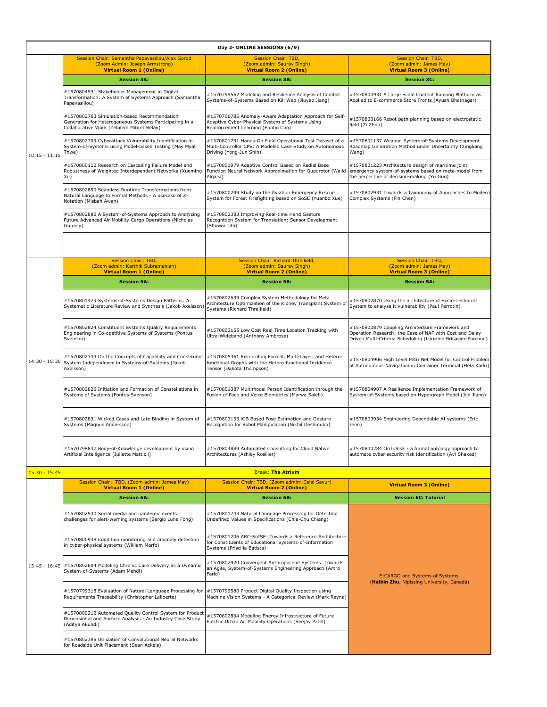| Day 2- ONLINE SESSIONS (6/9) |                                                                                                                                                     |                                                                                                                                                  |                                                                                                                                                                             |  |  |  |  |
|------------------------------|-----------------------------------------------------------------------------------------------------------------------------------------------------|--------------------------------------------------------------------------------------------------------------------------------------------------|-----------------------------------------------------------------------------------------------------------------------------------------------------------------------------|--|--|--|--|
|                              | Session Chair: Samantha Papavasiliou/Alex Gorod<br>(Zoom Admin: Joseph Armstrong)<br><b>Virtual Room 1 (Online)</b>                                 | Session Chair: TBD,<br>(Zoom admin: Saurav Singh)<br><b>Virtual Room 2 (Online)</b>                                                              | Session Chair: TBD,<br>(Zoom admin: James May)<br><b>Virtual Room 3 (Online)</b>                                                                                            |  |  |  |  |
| $10:15 - 11:15$              | <b>Session 3A:</b>                                                                                                                                  | <b>Session 3B:</b>                                                                                                                               | <b>Session 3C:</b>                                                                                                                                                          |  |  |  |  |
|                              | #1570804931 Stakeholder Management in Digital<br>Transformation: A System of Systems Approach (Samantha<br>Papavasiliou)                            | #1570799562 Modeling and Resilience Analysis of Combat<br>Systems-of-Systems Based on Kill Web (Jiuyao Jiang)                                    | #1570800931 A Large Scale Content Ranking Platform as<br>Applied to E-commerce Store Fronts (Ayush Bhatnagar)                                                               |  |  |  |  |
|                              | #1570802763 Simulation-based Recommendation<br>Generation for Heterogeneous Systems Participating in a<br>Collaborative Work (Zelalem Mihret Belay) | #1570796785 Anomaly-Aware Adaptation Approach for Self-<br>Adaptive Cyber-Physical System of Systems Using<br>Reinforcement Learning (Eunho Cho) | #1570800166 Robot path planning based on electrostatic<br>field (Zi Zhou)                                                                                                   |  |  |  |  |
|                              | #1570802709 Cyberattack Vulnerability Identification in<br>System-of-Systems using Model-based Testing (May Myat<br>Thwe)                           | #1570801791 Hands-On Field Operational Test Dataset of a<br>Multi-Controller CPS: A Modeled Case Study on Autonomous<br>Driving (Yong-Jun Shin)  | #1570801137 Weapon System-of-Systems Development<br>Roadmap Generation Method under Uncertainty (Xingliang<br>Wang)                                                         |  |  |  |  |
|                              | #1570800110 Research on Cascading Failure Model and<br>Robustness of Weighted Interdependent Networks (Xueming<br>Xu)                               | #1570801979 Adaptive Control Based on Radial Base<br>Function Neural Network Approximation for Quadrotor (Walid<br>Alqaisi)                      | #1570801223 Architecture design of maritime joint<br>emergency system-of-systems based on meta-model from<br>the perpective of decision-making (Yu Guo)                     |  |  |  |  |
|                              | #1570802890 Seamless Runtime Transformations from<br>Natural Language to Formal Methods - A usecase of Z-<br>Notation (Misbah Awan)                 | #1570800299 Study on the Aviation Emergency Rescue<br>System for Forest Firefighting based on SoSE (Yuanbo Xue)                                  | #1570802931 Towards a Taxonomy of Approaches to Modern<br>Complex Systems (Pin Chen)                                                                                        |  |  |  |  |
|                              | #1570802880 A System-of-Systems Approach to Analyzing<br>Future Advanced Air Mobility Cargo Operations (Nicholas<br>Gunady)                         | #1570802383 Improving Real-time Hand Gesture<br>Recognition System for Translation: Sensor Development<br>(Showni Titli)                         |                                                                                                                                                                             |  |  |  |  |
|                              |                                                                                                                                                     |                                                                                                                                                  |                                                                                                                                                                             |  |  |  |  |
|                              | <b>Session Chair: TBD,</b><br>(Zoom admin: Karthik Subramanian)<br><b>Virtual Room 1 (Online)</b>                                                   | Session Chair: Richard Threlkeld,<br>(Zoom admin: Sauray Singh)<br><b>Virtual Room 2 (Online)</b>                                                | Session Chair: TBD,<br>(Zoom admin: James May)<br><b>Virtual Room 3 (Online)</b>                                                                                            |  |  |  |  |
|                              | <b>Session 5A:</b>                                                                                                                                  | <b>Session 5B:</b>                                                                                                                               | <b>Session 5A:</b>                                                                                                                                                          |  |  |  |  |
| $14:30 - 15:30$              | #1570801473 Systems-of-Systems Design Patterns: A<br>Systematic Literature Review and Synthesis (Jakob Axelsson)                                    | #1570802639 Complex System Methodology for Meta<br>Architecture Optimization of the Kidney Transplant System o<br>Systems (Richard Threlkeld)    | #1570802870 Using the architecture of Socio-Technical<br>System to analyse it vulnerability (Paul Perrotin)                                                                 |  |  |  |  |
|                              | #1570802824 Constituent Systems Quality Requirements<br>Engineering in Co-opetitive Systems of Systems (Pontus<br>Svenson)                          | #1570803155 Low Cost Real Time Location Tracking with<br>Ultra-Wideband (Anthony Ambrose)                                                        | #1570800879 Coupling Architecture Framework and<br>Operation Research: the Case of NAF with Cost and Delay<br>Driven Multi-Criteria Scheduling (Lorraine Brisacier-Porchon) |  |  |  |  |
|                              | #1570802343 On the Concepts of Capability and Constituent<br>System Independence in Systems-of-Systems (Jakob<br>Axelsson)                          | #1570805361 Reconciling Formal, Multi-Layer, and Hetero-<br>functional Graphs with the Hetero-functional Incidence<br>Tensor (Dakota Thompson)   | #1570804906 High Level Petri Net Model for Control Problem<br>of Autonomous Navigation in Container Terminal (Hela Kadri)                                                   |  |  |  |  |
|                              | #1570802820 Initiation and Formation of Constellations in<br>Systems of Systems (Pontus Svenson)                                                    | #1570801387 Multimodal Person Identification through the<br>Fusion of Face and Voice Biometrics (Marwa Saleh)                                    | #1570804907 A Resilience Implementation Framework of<br>System-of-Systems based on Hypergraph Model (Jun Jiang)                                                             |  |  |  |  |
|                              | #1570802831 Wicked Cases and Late Binding in System of<br>Systems (Magnus Andersson)                                                                | #1570803153 iOS Based Pose Estimation and Gesture<br>Recognition for Robot Manipulation (Nikhil Deshmukh)                                        | #1570803934 Engineering Dependable AI systems (Eric<br>Jenn)                                                                                                                |  |  |  |  |
|                              | #1570798837 Body-of-Knowledge development by using<br>Artificial Intelligence (Juliette Mattioli)                                                   | #1570804889 Automated Consulting for Cloud Native<br>Architectures (Ashley Rosilier)                                                             | #1570800284 OnToRisk - a formal ontology approach to<br>automate cyber security risk identification (Avi Shaked)                                                            |  |  |  |  |
| $15:30 - 15:45$              |                                                                                                                                                     |                                                                                                                                                  |                                                                                                                                                                             |  |  |  |  |
|                              | Session Chair: TBD, (Zoom admin: James May)<br><b>Virtual Room 1 (Online)</b>                                                                       | Session Chair: TBD, (Zoom admin: Celal Savur)<br><b>Virtual Room 2 (Online)</b>                                                                  | <b>Virtual Room 3 (Online)</b>                                                                                                                                              |  |  |  |  |
|                              | <b>Session 6A:</b>                                                                                                                                  | <b>Session 6B:</b>                                                                                                                               | <b>Session 6C: Tutorial</b>                                                                                                                                                 |  |  |  |  |
| $15:45 - 16:45$              | #1570802930 Social media and pandemic events:<br>challenges for alert-warning systems (Sergio Luna Fong)                                            | #1570801743 Natural Language Processing for Detecting<br>Undefined Values in Specifications (Chia-Chu Chiang)                                    |                                                                                                                                                                             |  |  |  |  |
|                              | #1570800938 Condition monitoring and anomaly detection<br>in cyber-physical systems (William Marfo)                                                 | #1570801206 ARC-SoISE: Towards a Reference Architecture<br>for Constituents of Educational Systems-of-Information<br>Systems (Priscilla Batista) |                                                                                                                                                                             |  |  |  |  |
|                              | #1570802604 Modeling Chronic Care Delivery as a Dynamic<br>System-of-Systems (Adam Mehdi)                                                           | #1570802920 Convergent Anthropocene Systems: Towards<br>an Agile, System-of-Systems Engineering Approach (Amro<br>Farid)                         | E-CARGO and Systems of Systems.                                                                                                                                             |  |  |  |  |
|                              | #1570799318 Evaluation of Natural Language Processing for<br>Requirements Traceability (Christopher Laliberte)                                      | #1570799580 Product Digital Quality Inspection using<br>Machine Vision Systems - A Categorical Review (Mark Reyna)                               | (Haibin Zhu, Nipissing University, Canada)                                                                                                                                  |  |  |  |  |
|                              | #1570800212 Automated Quality Control System for Product<br>Dimensional and Surface Analysis - An Industry Case Study<br>(Aditya Akundi)            | #1570802894 Modeling Energy Infrastructure of Future<br>Electric Urban Air Mobility Operations (Seejay Patel)                                    |                                                                                                                                                                             |  |  |  |  |
|                              | #1570802395 Utilization of Convolutional Neural Networks<br>for Roadside Unit Placement (Sean Ackels)                                               |                                                                                                                                                  |                                                                                                                                                                             |  |  |  |  |